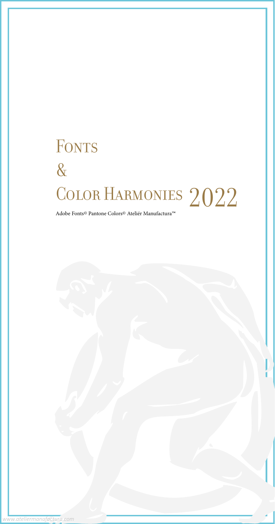# FONTS & COLOR HARMONIES 2022<br>Adobe Fonts© Pantone Colors© Ateliér Manufactura™



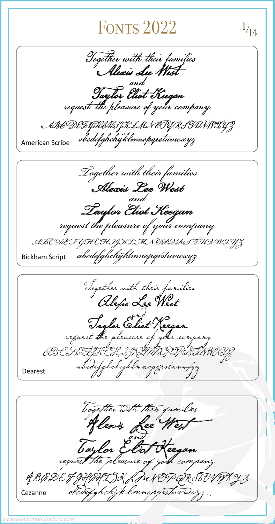Together with their families Alexis Lee West ABGDE JYHIHZJKLIUN EG Cezanne abcdefghchijklmnopqustuvwx

*www.ateliermanufactura.com*

### **FONTS 2022**

1

Together with their families<br>Alexis Lee West Taylor Eliot Keegan request the pleasure of your company ABCDEFGHCHIJKLMN OPQRSTUVWXYZ American Scribe abcdefghchyklmnopqrstuvwxyz  *Together with their families Alexis Lee West* and<br>Iaylor Eliot Keegan *Taylor Eliot Keegan request the pleasure of your company ABC DE F GH C HIJKLMN OPQRST UVW X YZ* Bickham Script *abcdefghchijklmnopqrstuvwxyz*  $\sqrt{14}$ 

Together with their families<br>Ale*fis* Lee West<br>Taylor Eliot Keegan<br>request the pleasure of your company<br>BCDEFGHCHIJKLMNDRSTUVWXYZ<br>abcdefghchijklmnopqrstunwxyz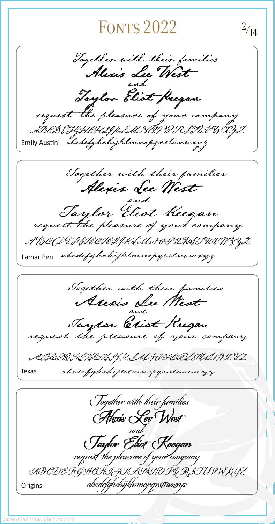### FONTS  $2022$   $\frac{2}{14}$

Together with their families Alexis Lee West and<br> $\overline{O}$ . Taylor Eliot Heegan ABCDEFGHCHIJKLMNOPQRSTUVWXYZ Emily Austin abcdefghchijklmnopqrstuvwxyz Together with their families Alexis Lee West and Taylor Eliot Keegan request the pleasure of your company A BOOD E FYHOOVEIJKLMA PIDAST UN W XYZ Lamar Pen abcdefghchijklmnopgrstuvwxyz Together with their families Alexis Lu Mest **vX**<br>and<br>O Taylor Eliot Rugan ABCDEF GHEHIJKLMNOPOIELIWMXV

Texas abcdefghchijklmnopgrotuvwxyz

 Together with their families Alexis Lee West Taylor Eliot Keegan request the pleasure of your company ABCDEFGHCHIJKLMNOPQRSTUVWXYZ Origins abcdefghchijklmnopqrstuwxyz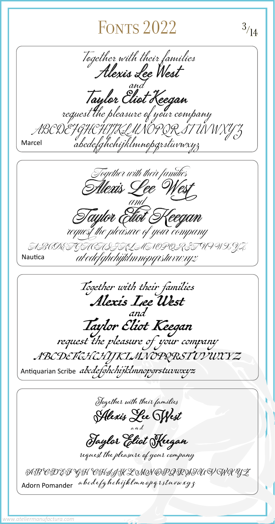## FONTS  $2022$   $3/14$

Together with their families<br>Alexis Lee West<br>Taulor Cliot Keegan request the pleasure of your company ABC DE FGHCHIJKLMNO PORSTUNNXY" Marcel abcdefghchijklmnopqrstuvwxyz  *Together with their families Alexis Lee West and Taylor Eliot Keegan request the pleasure of your company ABCDEFGHCHIJKLMNOPQRSTUVWXYZ* Nautica *abcdefghchijklmnopqrstuvwxyz* Together with their families Alexis Lee West Taylor Eliot Keegan request the pleasure of your company ABCDEFGHCHIJKLMNOPQRSTUVWXYZ Antiquarian Scribe abcdefghchijklmnopgrstuvwxyz

**Together with their families Alexis Lee West**

**and**

**Taylor Eliot Keegan**

**request the pleasure of your company**

**A B CD EF G H CHIJ K L M N OPQ R STU V W X YZ abcdefghchijklmnopqrstuvwxyz** Adorn Pomander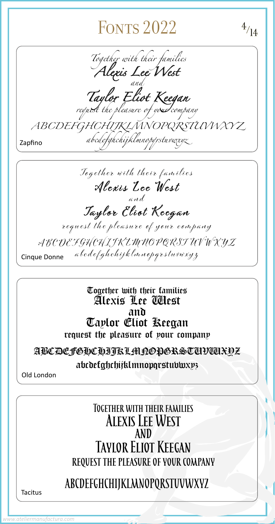**Together with their families**

## FONTS  $2022$   $4/14$

 *Together with their families Alexis Lee West and Taylor Eliot Keegan request the pleasure of your company ABCDEFGHCHIJKLMNOPQRSTUVWXY Z abcdefghchijklmnopqrstuvwxyz* Zapfino

| <b>ALEXIS LEE WEST</b>       |                                             |
|------------------------------|---------------------------------------------|
| AND                          |                                             |
| <b>TAYLOR ELIOT KEEGAN</b>   |                                             |
|                              | <b>REQUEST THE PLEASURE OF YOUR COMPANY</b> |
| ABCDEFGHCHIJKLMNOPQRSTUVWXYZ |                                             |
| <b>Tacitus</b>               |                                             |
| www.ateliermanufactura.com   |                                             |

Together with their families Alexis Lee West and Taylor Eliot Keegan request the pleasure of your company ABCDEFGHCHIJK LMNOPQRST UV W X YZ abcdefghchijklmnopqrstuvwxyz Cinque Donne

Together with their families Alexis Lee West and Taylor Eliot Keegan request the pleasure of your company ABCDEFGHCHIJKLMNOPGRSTUVWXYZ abcdefghchijklmnopqrstuvwxyz

Old London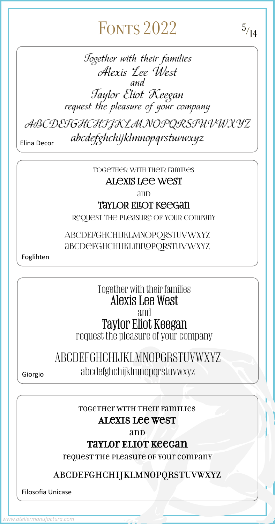#### Together with their families Alexis Lee West

and

#### TAYLOR ELLOT KEEGAN

request the pleasure of your company

#### ABCDEFGHCHIJKLMNOPQRSTUVWXYZ abcdefghchijklmnopqrstuvwxyz

Foglihten

Together with their families Alexis Lee West and Taylor Eliot Keegan request the pleasure of your company

### ABCDEFGHCHIJKLMNOPGRSTUVWXYZ Giorgio abcdefghchijklmnopqrstuvwxyz

## FONTS  $2022$  5<sub>/14</sub>

Together with their families Alexis Lee West and Taylor Eliot Keegan request the pleasure of your company

ABCDEFGHCHIJKLMNOPQRSTUVWXYZ abcdefghchijklmnopqrstuvwxyz Elina Decor

Together with their families

#### Alexis Lee West

and

#### Taylor Eliot Keegan

request the pleasure of your company

#### ABCDEFGHCHIJKLMNOPQRSTUVWXYZ

Filosofia Unicase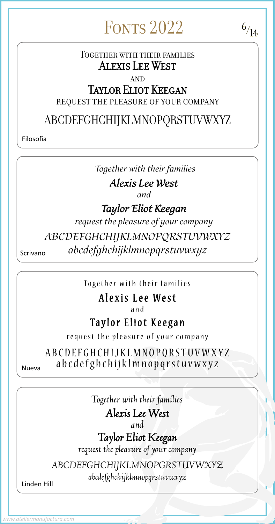# FONTS  $2022$  6/14

#### Together with their families Alexis Lee West

#### **AND**

### Taylor Eliot Keegan

### request the pleasure of your company

### ABCDEFGHCHIJKLMNOPQRSTUVWXYZ

Filosofia

ABCDEFGHCHIJKLMNOPQRSTUVWXYZ  $N_{\text{ueva}}$  abcdefghchijklmnopqrstuvwxyz

*Together with their families Alexis Lee West and Taylor Eliot Keegan request the pleasure of your company ABCDEFGHCHIJKLMNOPQRSTUVWXYZ* Scrivano *abcdefghchijklmnopqrstuvwxyz*

Together with their families

### Alexis Lee West

and

### Taylor Eliot Keegan

request the pleasure of your company

*Together with their families Alexis Lee West*

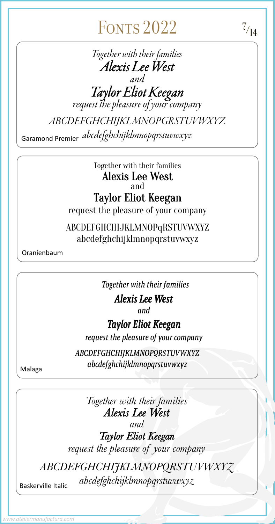*Together with their families Alexis Lee West*

## FONTS  $2022$   $\frac{7}{14}$

*Together with their families Alexis Lee West and Taylor Eliot Keegan request the pleasure of your company ABCDEFGHCHIJKLMNOPGRSTUVWXYZ*

*abcdefghchijklmnopqrstuvwxyz* Garamond Premier



Together with their families Alexis Lee West and Taylor Eliot Keegan request the pleasure of your company

ABCDEFGHCHIJKLMNOPqRSTUVWXYZ abcdefghchijklmnopqrstuvwxyz

Oranienbaum

*Together with their families*

*Alexis Lee West*

*and*

### *Taylor Eliot Keegan*

*request the pleasure of your company*

*ABCDEFGHCHIJKLMNOPQRSTUVWXYZ abcdefghchijklmnopqrstuvwxyz* Malaga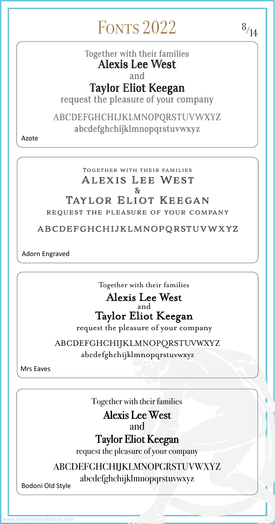#### Together with their families Alexis Lee West & TAYLOR ELIOT KEEGAN request the pleasure of your company

#### ABCDEFGHCHIJKLMNOPQRSTUVWXYZ

Adorn Engraved

## FONTS  $2022$   $8/14$

Together with their families Alexis Lee West

#### and Taylor Eliot Keegan

request the pleasure of your company

ABCDEFGHCHIJKLMNOPQRSTUVWXYZ abcdefghchijklmnopqrstuvwxyz

Azote

Together with their families Alexis Lee West

Together with their families



#### Alexis Lee West and Taylor Eliot Keegan

request the pleasure of your company

ABCDEFGHCHIJKLMNOPQRSTUVWXYZ abcdefghchijklmnopqrstuvwxyz

Mrs Eaves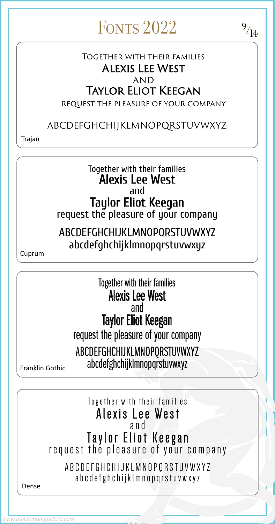Together with their families Alexis Lee West

## and Taylor Eliot Keegan<br>request the pleasure of your company ABCDEFGHCHIJKLMNOPQRSTUVWXYZ abcdefghchijklmnopqrstuvwxyz Dense

Together with their families Alexis Lee West and Taylor Eliot Keegan request the pleasure of your company

Together with their families Alexis Lee West and Taylor Eliot Keegan request the pleasure of your company ABCDEFGHCHIJKLMNOPQRSTUVWXYZ abcdefghchijklmnopqrstuvwxyz Franklin Gothic

ABCDEFGHCHIJKLMNOPQRSTUVWXYZ abcdefghchijklmnopqrstuvwxyz

Cuprum

## FONTS  $2022$  9/14

### Together with their families Alexis Lee West **AND** Taylor Eliot Keegan

request the pleasure of your company

### ABCDEFGHCHIJKLMNOPQRSTUVWXYZ

Trajan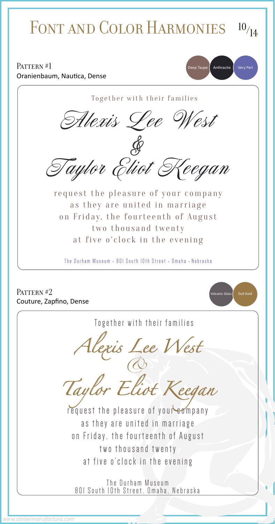as they are united in marriage on Friday, the fourteenth of August two thousand twenty at five o'clock in the evening

The Durham Museum 801 South 10th Street, Omaha, Nebraska

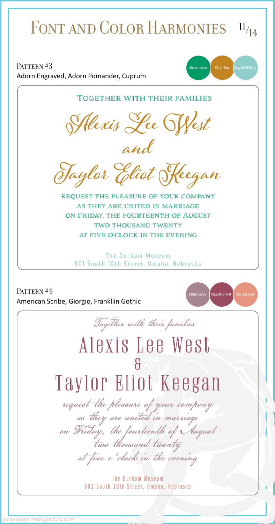### PATTERN #4 Together with their families Alexis Lee West American Scribe, Giorgio, Frankllin Gothic Together with their families **Alexis Lee West and Taylor Eliot Keegan** request the pleasure of your company as they are united in marriage on Friday, the fourteenth of August two thousand twenty at five o'clock in the evening The Durham Museum 801 South 10th Street, Omaha, Nebraska Adorn Engraved, Adorn Pomander, Cuprum Elderberry | Hawthorn R. Muted Clay  $\text{PATTERN } \#3$  Greenbriar Chai Tea Eggshell Blue FONT AND COLOR HARMONIES  $11/14$

& Taylor Eliot Keegan

request the pleasure of your company<br>as they are united in marriage<br>on Friday, the fourteenth of August<br>two thousand twenty<br>at five o'clock in the evening

#### The Durham Museum 801 South 10th Street, Omaha, Nebraska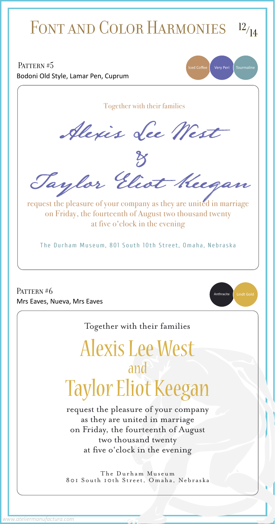## PATTERN #5 PATTERN #6 Together with their families Alexis Lee West Mrs Eaves, Nueva, Mrs Eaves Together with their families Alexis Lee West & Taylor Eliot Keegan request the pleasure of your company as they are united in marriage on Friday, the fourteenth of August two thousand twenty at five o'clock in the evening The Durham Museum, 801 South 10th Street, Omaha, Nebraska Bodoni Old Style, Lamar Pen, Cuprum Iced Coffee | Very Peri | Tourmaline Anthracite | Lindt Gold FONT AND COLOR HARMONIES  $12/14$

and Taylor Eliot Keegan

request the pleasure of your company

as they are united in marriage on Friday, the fourteenth of August two thousand twenty at five o'clock in the evening

The Durham Museum 801 South 10th Street, Omaha, Nebraska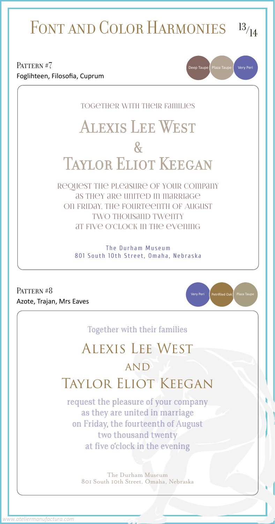### PATTERN #7 PATTERN #8 Azote, Trajan, Mrs Eaves Together with their families Alexis Lee West  $\mathcal{X}$ TAYLOR ELIOT KEEGAN request the pleasure of your company as they are united in marriage on Friday, the fourteenth of August two thousand twenty at five o'clock in the evening The Durham Museum 801 South 10th Street, Omaha, Nebraska Foglihteen, Filosofia, Cuprum Deep Taupe | Plaza Taupe Very Peri  $\Big($  Petrifiled Oak $\Big($  Plaza Taupe Very Peri FONT AND COLOR HARMONIES  $13/14$

Together with their families

## Alexis Lee West

### **AND** TAYLOR ELIOT KEEGAN

request the pleasure of your company as they are united in marriage

on Friday, the fourteenth of August two thousand twenty at five o'clock in the evening

The Durham Museum 801 South 10th Street, Omaha, Nebraska